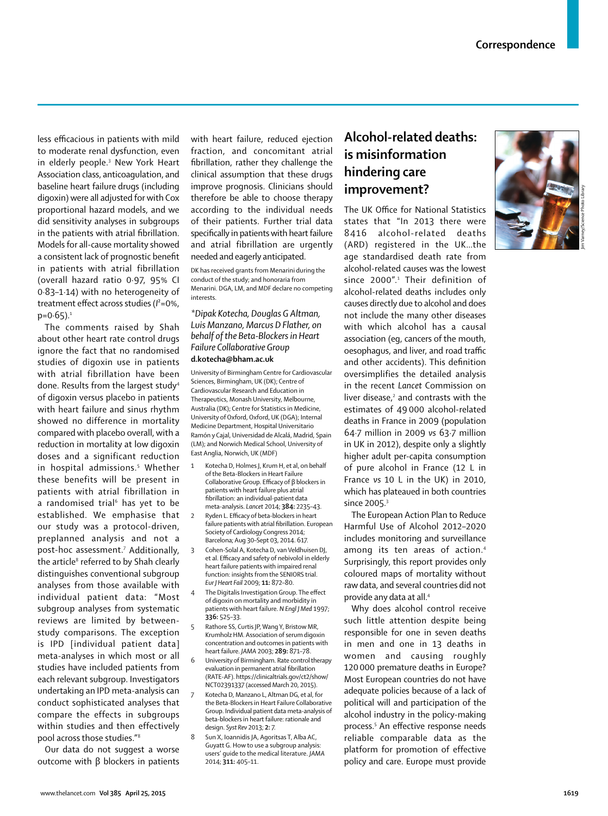less efficacious in patients with mild to moderate renal dysfunction, even in elderly people.3 New York Heart Association class, anticoagulation, and baseline heart failure drugs (including digoxin) were all adjusted for with Cox proportional hazard models, and we did sensitivity analyses in subgroups in the patients with atrial fibrillation. Models for all-cause mortality showed a consistent lack of prognostic benefit in patients with atrial fibrillation (overall hazard ratio 0·97, 95% CI 0·83–1·14) with no heterogeneity of treatment effect across studies ( $l^2$ =0%,  $p=0.65$ ).<sup>1</sup>

The comments raised by Shah about other heart rate control drugs ignore the fact that no randomised studies of digoxin use in patients with atrial fibrillation have been done. Results from the largest study<sup>4</sup> of digoxin versus placebo in patients with heart failure and sinus rhythm showed no difference in mortality compared with placebo overall, with a reduction in mortality at low digoxin doses and a significant reduction in hospital admissions.5 Whether these benefits will be present in patients with atrial fibrillation in a randomised trial<sup>6</sup> has yet to be established. We emphasise that our study was a protocol-driven, preplanned analysis and not a post-hoc assessment.7 Additionally, the article $^{\text{\tiny 8}}$  referred to by Shah clearly distinguishes conventional subgroup analyses from those available with individual patient data: "Most subgroup analyses from systematic reviews are limited by betweenstudy comparisons. The exception is IPD [individual patient data] meta-analyses in which most or all studies have included patients from each relevant subgroup. Investigators undertaking an IPD meta-analysis can conduct sophisticated analyses that compare the effects in subgroups within studies and then effectively pool across those studies."8

Our data do not suggest a worse outcome with β blockers in patients with heart failure, reduced ejection fraction, and concomitant atrial fibrillation, rather they challenge the clinical assumption that these drugs improve prognosis. Clinicians should therefore be able to choose therapy according to the individual needs of their patients. Further trial data specifically in patients with heart failure and atrial fibrillation are urgently needed and eagerly anticipated.

DK has received grants from Menarini during the conduct of the study; and honoraria from Menarini. DGA, LM, and MDF declare no competing interests.

### *\*Dipak Kotecha, Douglas G Altman, Luis Manzano, Marcus D Flather, on behalf of the Beta-Blockers in Heart Failure Collaborative Group* **d.kotecha@bham.ac.uk**

University of Birmingham Centre for Cardiovascular Sciences, Birmingham, UK (DK); Centre of Cardiovascular Research and Education in Therapeutics, Monash University, Melbourne, Australia (DK); Centre for Statistics in Medicine, University of Oxford, Oxford, UK (DGA); Internal Medicine Department, Hospital Universitario Ramón y Cajal, Universidad de Alcalá, Madrid, Spain (LM); and Norwich Medical School, University of East Anglia, Norwich, UK (MDF)

- Kotecha D, Holmes J, Krum H, et al, on behalf of the Beta-Blockers in Heart Failure Collaborative Group. Efficacy of  $\beta$  blockers in patients with heart failure plus atrial fi brillation: an individual-patient data meta-analysis. *Lancet* 2014; **384:** 2235–43.
- 2 Ryden L. Efficacy of beta-blockers in heart failure patients with atrial fibrillation. European Society of Cardiology Congress 2014; Barcelona; Aug 30–Sept 03, 2014. 617.
- 3 Cohen-Solal A, Kotecha D, van Veldhuisen DJ, et al. Efficacy and safety of nebivolol in elderly heart failure patients with impaired renal function: insights from the SENIORS trial. *Eur J Heart Fail* 2009; **11:** 872–80.
	- The Digitalis Investigation Group. The effect of digoxin on mortality and morbidity in patients with heart failure. *N Engl J Med* 1997; **336:** 525–33.
- 5 Rathore SS, Curtis JP, Wang Y, Bristow MR, Krumholz HM. Association of serum digoxin concentration and outcomes in patients with heart failure. *JAMA* 2003; **289:** 871–78.
- 6 University of Birmingham. Rate control therapy evaluation in permanent atrial fibrillation (RATE-AF). https://clinicaltrials.gov/ct2/show/ NCT02391337 (accessed March 20, 2015).
	- 7 Kotecha D, Manzano L, Altman DG, et al, for the Beta-Blockers in Heart Failure Collaborative Group. Individual patient data meta-analysis of beta-blockers in heart failure: rationale and design. *Syst Rev* 2013; **2:** 7.
- 8 Sun X, Ioannidis JA, Agoritsas T, Alba AC, Guyatt G. How to use a subgroup analysis: users' guide to the medical literature. *JAMA* 2014; **311:** 405–11.

# **Alcohol-related deaths: is misinformation hindering care improvement?**

The UK Office for National Statistics states that "In 2013 there were 8416 alcohol-related deaths (ARD) registered in the UK…the age standardised death rate from alcohol-related causes was the lowest since 2000".1 Their definition of alcohol-related deaths includes only causes directly due to alcohol and does not include the many other diseases with which alcohol has a causal association (eg, cancers of the mouth, oesophagus, and liver, and road traffic and other accidents). This definition oversimplifies the detailed analysis in the recent *Lancet* Commission on liver disease, $2$  and contrasts with the estimates of 49 000 alcohol-related deaths in France in 2009 (population 64·7 million in 2009 *vs* 63·7 million in UK in 2012), despite only a slightly higher adult per-capita consumption of pure alcohol in France (12 L in France *vs* 10 L in the UK) in 2010, which has plateaued in both countries since  $2005$ . $3$ 

The European Action Plan to Reduce Harmful Use of Alcohol 2012–2020 includes monitoring and surveillance among its ten areas of action.<sup>4</sup> Surprisingly, this report provides only coloured maps of mortality without raw data, and several countries did not provide any data at all.<sup>4</sup>

Why does alcohol control receive such little attention despite being responsible for one in seven deaths in men and one in 13 deaths in women and causing roughly 120 000 premature deaths in Europe? Most European countries do not have adequate policies because of a lack of political will and participation of the alcohol industry in the policy-making process.<sup>5</sup> An effective response needs reliable comparable data as the platform for promotion of effective policy and care. Europe must provide



Jim Varney/Science Photo Library